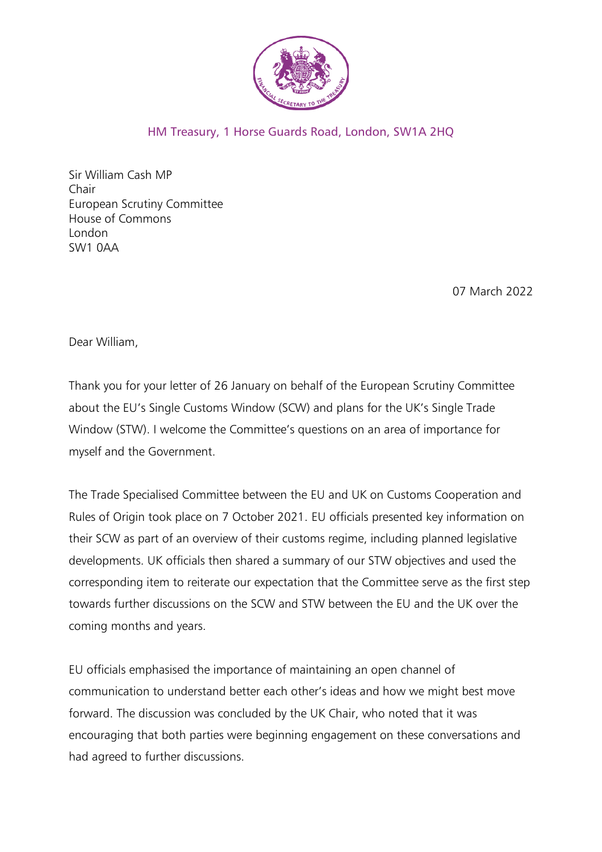

## HM Treasury, 1 Horse Guards Road, London, SW1A 2HQ

Sir William Cash MP Chair European Scrutiny Committee House of Commons London SW1 0AA

07 March 2022

Dear William,

Thank you for your letter of 26 January on behalf of the European Scrutiny Committee about the EU's Single Customs Window (SCW) and plans for the UK's Single Trade Window (STW). I welcome the Committee's questions on an area of importance for myself and the Government.

The Trade Specialised Committee between the EU and UK on Customs Cooperation and Rules of Origin took place on 7 October 2021. EU officials presented key information on their SCW as part of an overview of their customs regime, including planned legislative developments. UK officials then shared a summary of our STW objectives and used the corresponding item to reiterate our expectation that the Committee serve as the first step towards further discussions on the SCW and STW between the EU and the UK over the coming months and years.

EU officials emphasised the importance of maintaining an open channel of communication to understand better each other's ideas and how we might best move forward. The discussion was concluded by the UK Chair, who noted that it was encouraging that both parties were beginning engagement on these conversations and had agreed to further discussions.